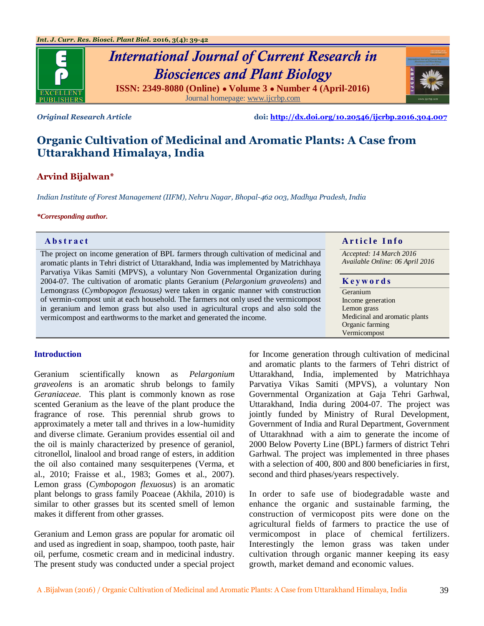

# *International Journal of Current Research in Biosciences and Plant Biology* **ISSN: 2349-8080 (Online) ● Volume 3 ● Number 4 (April-2016)** Journal homepage[: www.ijcrbp.com](http://www.ijcrbp.com/)



*Original Research Article* **doi:<http://dx.doi.org/10.20546/ijcrbp.2016.304.007>**

# **Organic Cultivation of Medicinal and Aromatic Plants: A Case from Uttarakhand Himalaya, India**

# **Arvind Bijalwan\***

*Indian Institute of Forest Management (IIFM), Nehru Nagar, Bhopal-462 003, Madhya Pradesh, India*

#### *\*Corresponding author.*

The project on income generation of BPL farmers through cultivation of medicinal and aromatic plants in Tehri district of Uttarakhand, India was implemented by Matrichhaya Parvatiya Vikas Samiti (MPVS), a voluntary Non Governmental Organization during 2004-07. The cultivation of aromatic plants Geranium (*Pelargonium graveolens*) and Lemongrass (*Cymbopogon flexuosus)* were taken in organic manner with construction of vermin-compost unit at each household. The farmers not only used the vermicompost in geranium and lemon grass but also used in agricultural crops and also sold the vermicompost and earthworms to the market and generated the income.

# **Abstract A A** raticle **Info**

*Accepted: 14 March 2016 Available Online: 06 April 2016*

#### **K e y w o r d s**

Geranium Income generation Lemon grass Medicinal and aromatic plants Organic farming Vermicompost

# **Introduction**

Geranium scientifically known as *Pelargonium graveolens* is an aromatic shrub belongs to family *Geraniaceae*. This plant is commonly known as rose scented Geranium as the leave of the plant produce the fragrance of rose. This perennial shrub grows to approximately a meter tall and thrives in a low-humidity and diverse climate. Geranium provides essential oil and the oil is mainly characterized by presence of geraniol, citronellol, linalool and broad range of esters, in addition the oil also contained many sesquiterpenes (Verma, et al., 2010; Fraisse et al., 1983; Gomes et al., 2007). Lemon grass (*Cymbopogon flexuosus*) is an aromatic plant belongs to grass family Poaceae (Akhila, 2010) is similar to other grasses but its scented smell of lemon makes it different from other grasses.

Geranium and Lemon grass are popular for aromatic oil and used as ingredient in soap, shampoo, tooth paste, hair oil, perfume, cosmetic cream and in medicinal industry. The present study was conducted under a special project for Income generation through cultivation of medicinal and aromatic plants to the farmers of Tehri district of Uttarakhand, India, implemented by Matrichhaya Parvatiya Vikas Samiti (MPVS), a voluntary Non Governmental Organization at Gaja Tehri Garhwal, Uttarakhand, India during 2004-07. The project was jointly funded by Ministry of Rural Development, Government of India and Rural Department, Government of Uttarakhnad with a aim to generate the income of 2000 Below Poverty Line (BPL) farmers of district Tehri Garhwal. The project was implemented in three phases with a selection of 400, 800 and 800 beneficiaries in first, second and third phases/years respectively.

In order to safe use of biodegradable waste and enhance the organic and sustainable farming, the construction of vermicopost pits were done on the agricultural fields of farmers to practice the use of vermicompost in place of chemical fertilizers. Interestingly the lemon grass was taken under cultivation through organic manner keeping its easy growth, market demand and economic values.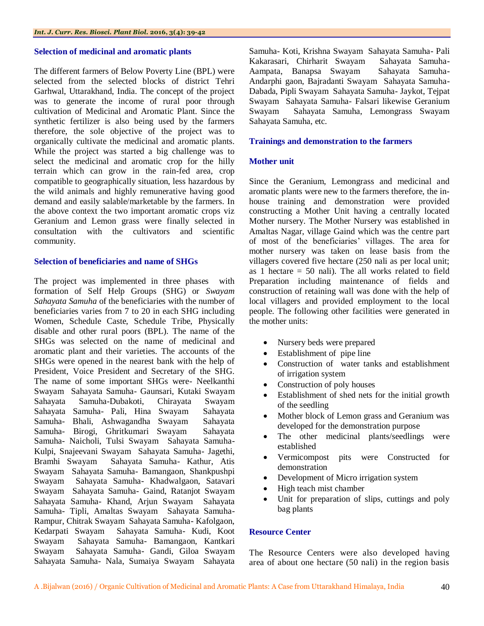#### **Selection of medicinal and aromatic plants**

The different farmers of Below Poverty Line (BPL) were selected from the selected blocks of district Tehri Garhwal, Uttarakhand, India. The concept of the project was to generate the income of rural poor through cultivation of Medicinal and Aromatic Plant. Since the synthetic fertilizer is also being used by the farmers therefore, the sole objective of the project was to organically cultivate the medicinal and aromatic plants. While the project was started a big challenge was to select the medicinal and aromatic crop for the hilly terrain which can grow in the rain-fed area, crop compatible to geographically situation, less hazardous by the wild animals and highly remunerative having good demand and easily salable/marketable by the farmers. In the above context the two important aromatic crops viz Geranium and Lemon grass were finally selected in consultation with the cultivators and scientific community.

### **Selection of beneficiaries and name of SHGs**

The project was implemented in three phases with formation of Self Help Groups (SHG) or *Swayam Sahayata Samuha* of the beneficiaries with the number of beneficiaries varies from 7 to 20 in each SHG including Women, Schedule Caste, Schedule Tribe, Physically disable and other rural poors (BPL). The name of the SHGs was selected on the name of medicinal and aromatic plant and their varieties. The accounts of the SHGs were opened in the nearest bank with the help of President, Voice President and Secretary of the SHG. The name of some important SHGs were- Neelkanthi Swayam Sahayata Samuha- Gaunsari, Kutaki Swayam Sahayata Samuha-Dubakoti, Chirayata Swayam Sahayata Samuha- Pali, Hina Swayam Sahayata Samuha- Bhali, Ashwagandha Swayam Sahayata Samuha- Birogi, Ghritkumari Swayam Sahayata Samuha- Naicholi, Tulsi Swayam Sahayata Samuha-Kulpi, Snajeevani Swayam Sahayata Samuha- Jagethi, Bramhi Swayam Sahayata Samuha- Kathur, Atis Swayam Sahayata Samuha- Bamangaon, Shankpushpi Swayam Sahayata Samuha- Khadwalgaon, Satavari Swayam Sahayata Samuha- Gaind, Ratanjot Swayam Sahayata Samuha- Khand, Arjun Swayam Sahayata Samuha- Tipli, Amaltas Swayam Sahayata Samuha-Rampur, Chitrak Swayam Sahayata Samuha- Kafolgaon, Kedarpati Swayam Sahayata Samuha- Kudi, Koot Swayam Sahayata Samuha- Bamangaon, Kantkari Swayam Sahayata Samuha- Gandi, Giloa Swayam Sahayata Samuha- Nala, Sumaiya Swayam Sahayata

Samuha- Koti, Krishna Swayam Sahayata Samuha- Pali Kakarasari, Chirharit Swayam Sahayata Samuha-Aampata, Banapsa Swayam Sahayata Samuha-Andarphi gaon, Bajradanti Swayam Sahayata Samuha-Dabada, Pipli Swayam Sahayata Samuha- Jaykot, Tejpat Swayam Sahayata Samuha- Falsari likewise Geranium Swayam Sahayata Samuha, Lemongrass Swayam Sahayata Samuha, etc.

### **Trainings and demonstration to the farmers**

### **Mother unit**

Since the Geranium, Lemongrass and medicinal and aromatic plants were new to the farmers therefore, the inhouse training and demonstration were provided constructing a Mother Unit having a centrally located Mother nursery. The Mother Nursery was established in Amaltas Nagar, village Gaind which was the centre part of most of the beneficiaries' villages. The area for mother nursery was taken on lease basis from the villagers covered five hectare (250 nali as per local unit; as 1 hectare  $= 50$  nali). The all works related to field Preparation including maintenance of fields and construction of retaining wall was done with the help of local villagers and provided employment to the local people. The following other facilities were generated in the mother units:

- Nursery beds were prepared
- Establishment of pipe line
- Construction of water tanks and establishment of irrigation system
- Construction of poly houses
- Establishment of shed nets for the initial growth of the seedling
- Mother block of Lemon grass and Geranium was developed for the demonstration purpose
- The other medicinal plants/seedlings were established
- Vermicompost pits were Constructed for demonstration
- Development of Micro irrigation system
- High teach mist chamber
- Unit for preparation of slips, cuttings and poly bag plants

#### **Resource Center**

The Resource Centers were also developed having area of about one hectare (50 nali) in the region basis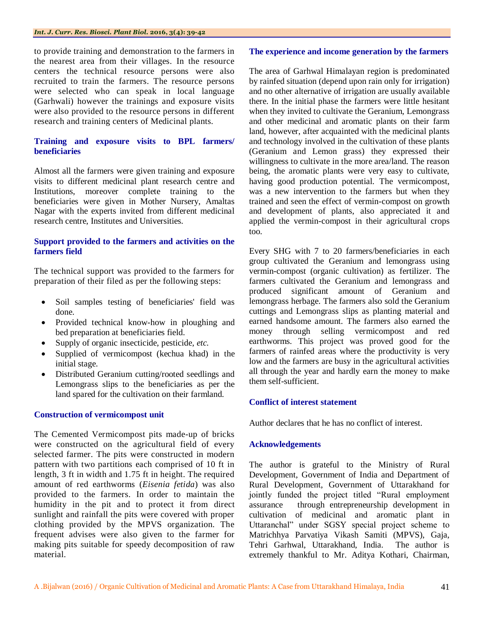to provide training and demonstration to the farmers in the nearest area from their villages. In the resource centers the technical resource persons were also recruited to train the farmers. The resource persons were selected who can speak in local language (Garhwali) however the trainings and exposure visits were also provided to the resource persons in different research and training centers of Medicinal plants.

# **Training and exposure visits to BPL farmers/ beneficiaries**

Almost all the farmers were given training and exposure visits to different medicinal plant research centre and Institutions, moreover complete training to the beneficiaries were given in Mother Nursery, Amaltas Nagar with the experts invited from different medicinal research centre, Institutes and Universities.

### **Support provided to the farmers and activities on the farmers field**

The technical support was provided to the farmers for preparation of their filed as per the following steps:

- Soil samples testing of beneficiaries' field was done.
- Provided technical know-how in ploughing and bed preparation at beneficiaries field.
- Supply of organic insecticide, pesticide, *etc.*
- Supplied of vermicompost (kechua khad) in the initial stage.
- Distributed Geranium cutting/rooted seedlings and Lemongrass slips to the beneficiaries as per the land spared for the cultivation on their farmland.

## **Construction of vermicompost unit**

The Cemented Vermicompost pits made-up of bricks were constructed on the agricultural field of every selected farmer. The pits were constructed in modern pattern with two partitions each comprised of 10 ft in length, 3 ft in width and 1.75 ft in height. The required amount of red earthworms (*Eisenia fetida*) was also provided to the farmers. In order to maintain the humidity in the pit and to protect it from direct sunlight and rainfall the pits were covered with proper clothing provided by the MPVS organization. The frequent advises were also given to the farmer for making pits suitable for speedy decomposition of raw material.

#### **The experience and income generation by the farmers**

The area of Garhwal Himalayan region is predominated by rainfed situation (depend upon rain only for irrigation) and no other alternative of irrigation are usually available there. In the initial phase the farmers were little hesitant when they invited to cultivate the Geranium, Lemongrass and other medicinal and aromatic plants on their farm land, however, after acquainted with the medicinal plants and technology involved in the cultivation of these plants (Geranium and Lemon grass) they expressed their willingness to cultivate in the more area/land. The reason being, the aromatic plants were very easy to cultivate, having good production potential. The vermicompost, was a new intervention to the farmers but when they trained and seen the effect of vermin-compost on growth and development of plants, also appreciated it and applied the vermin-compost in their agricultural crops too.

Every SHG with 7 to 20 farmers/beneficiaries in each group cultivated the Geranium and lemongrass using vermin-compost (organic cultivation) as fertilizer. The farmers cultivated the Geranium and lemongrass and produced significant amount of Geranium and lemongrass herbage. The farmers also sold the Geranium cuttings and Lemongrass slips as planting material and earned handsome amount. The farmers also earned the money through selling vermicompost and red earthworms. This project was proved good for the farmers of rainfed areas where the productivity is very low and the farmers are busy in the agricultural activities all through the year and hardly earn the money to make them self-sufficient.

#### **Conflict of interest statement**

Author declares that he has no conflict of interest.

#### **Acknowledgements**

The author is grateful to the Ministry of Rural Development, Government of India and Department of Rural Development, Government of Uttarakhand for jointly funded the project titled "Rural employment assurance through entrepreneurship development in cultivation of medicinal and aromatic plant in Uttaranchal" under SGSY special project scheme to Matrichhya Parvatiya Vikash Samiti (MPVS), Gaja, Tehri Garhwal, Uttarakhand, India. The author is extremely thankful to Mr. Aditya Kothari, Chairman,